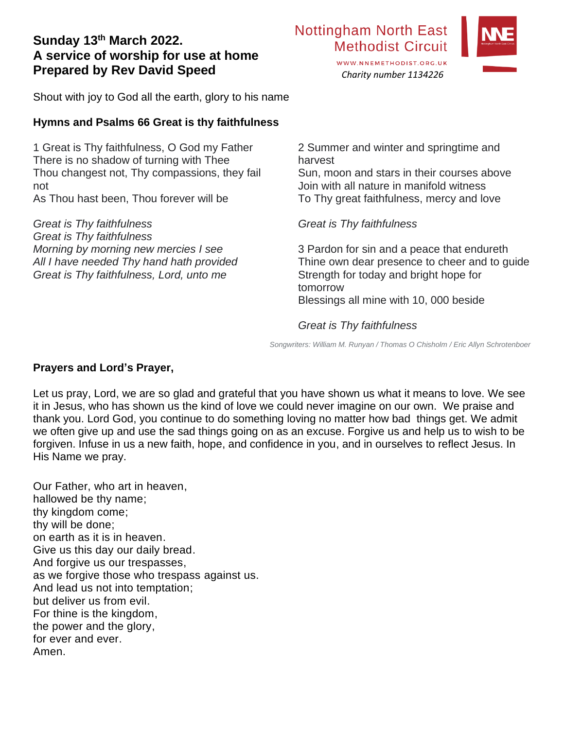# **Sunday 13th March 2022. A service of worship for use at home Prepared by Rev David Speed**

Shout with joy to God all the earth, glory to his name

# **Hymns and Psalms 66 Great is thy faithfulness**

1 Great is Thy faithfulness, O God my Father There is no shadow of turning with Thee Thou changest not, Thy compassions, they fail not As Thou hast been, Thou forever will be

*Great is Thy faithfulness Great is Thy faithfulness Morning by morning new mercies I see All I have needed Thy hand hath provided Great is Thy faithfulness, Lord, unto me*

2 Summer and winter and springtime and harvest

*Charity number 1134226*

WWW.NNEMETHODIST.ORG.UK

Sun, moon and stars in their courses above Join with all nature in manifold witness To Thy great faithfulness, mercy and love

*Great is Thy faithfulness*

3 Pardon for sin and a peace that endureth Thine own dear presence to cheer and to guide Strength for today and bright hope for tomorrow Blessings all mine with 10, 000 beside

# *Great is Thy faithfulness*

*Songwriters: William M. Runyan / Thomas O Chisholm / Eric Allyn Schrotenboer*

### **Prayers and Lord's Prayer,**

Let us pray, Lord, we are so glad and grateful that you have shown us what it means to love. We see it in Jesus, who has shown us the kind of love we could never imagine on our own. We praise and thank you. Lord God, you continue to do something loving no matter how bad things get. We admit we often give up and use the sad things going on as an excuse. Forgive us and help us to wish to be forgiven. Infuse in us a new faith, hope, and confidence in you, and in ourselves to reflect Jesus. In His Name we pray.

Our Father, who art in heaven, hallowed be thy name; thy kingdom come; thy will be done; on earth as it is in heaven. Give us this day our daily bread. And forgive us our trespasses, as we forgive those who trespass against us. And lead us not into temptation; but deliver us from evil. For thine is the kingdom, the power and the glory, for ever and ever. Amen.



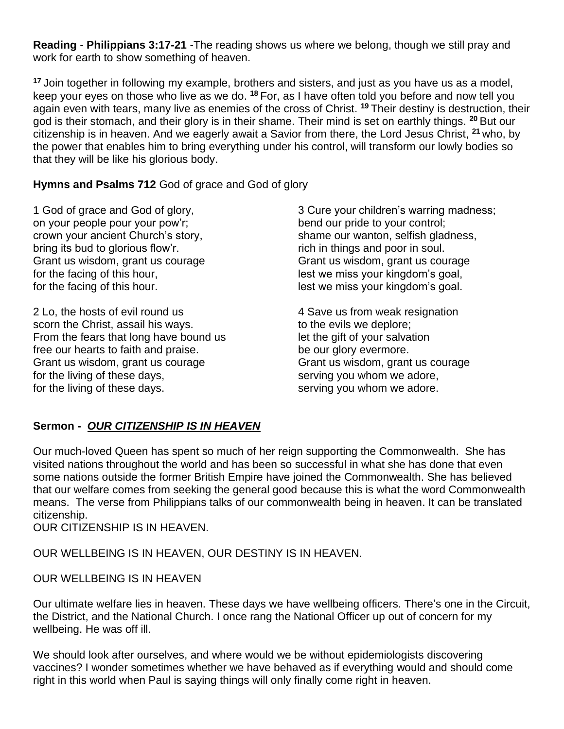**Reading** - **Philippians 3:17-21** -The reading shows us where we belong, though we still pray and work for earth to show something of heaven.

**<sup>17</sup>** Join together in following my example, brothers and sisters, and just as you have us as a model, keep your eyes on those who live as we do. **<sup>18</sup>** For, as I have often told you before and now tell you again even with tears, many live as enemies of the cross of Christ. **<sup>19</sup>** Their destiny is destruction, their god is their stomach, and their glory is in their shame. Their mind is set on earthly things. **<sup>20</sup>** But our citizenship is in heaven. And we eagerly await a Savior from there, the Lord Jesus Christ, **<sup>21</sup>** who, by the power that enables him to bring everything under his control, will transform our lowly bodies so that they will be like his glorious body.

**Hymns and Psalms 712** God of grace and God of glory

1 God of grace and God of glory, on your people pour your pow'r; crown your ancient Church's story, bring its bud to glorious flow'r. Grant us wisdom, grant us courage for the facing of this hour, for the facing of this hour.

2 Lo, the hosts of evil round us scorn the Christ, assail his ways. From the fears that long have bound us free our hearts to faith and praise. Grant us wisdom, grant us courage for the living of these days, for the living of these days.

3 Cure your children's warring madness; bend our pride to your control; shame our wanton, selfish gladness, rich in things and poor in soul. Grant us wisdom, grant us courage lest we miss your kingdom's goal, lest we miss your kingdom's goal.

4 Save us from weak resignation to the evils we deplore; let the gift of your salvation be our glory evermore. Grant us wisdom, grant us courage serving you whom we adore, serving you whom we adore.

# **Sermon -** *OUR CITIZENSHIP IS IN HEAVEN*

Our much-loved Queen has spent so much of her reign supporting the Commonwealth. She has visited nations throughout the world and has been so successful in what she has done that even some nations outside the former British Empire have joined the Commonwealth. She has believed that our welfare comes from seeking the general good because this is what the word Commonwealth means. The verse from Philippians talks of our commonwealth being in heaven. It can be translated citizenship.

OUR CITIZENSHIP IS IN HEAVEN.

OUR WELLBEING IS IN HEAVEN, OUR DESTINY IS IN HEAVEN.

OUR WELLBEING IS IN HEAVEN

Our ultimate welfare lies in heaven. These days we have wellbeing officers. There's one in the Circuit, the District, and the National Church. I once rang the National Officer up out of concern for my wellbeing. He was off ill.

We should look after ourselves, and where would we be without epidemiologists discovering vaccines? I wonder sometimes whether we have behaved as if everything would and should come right in this world when Paul is saying things will only finally come right in heaven.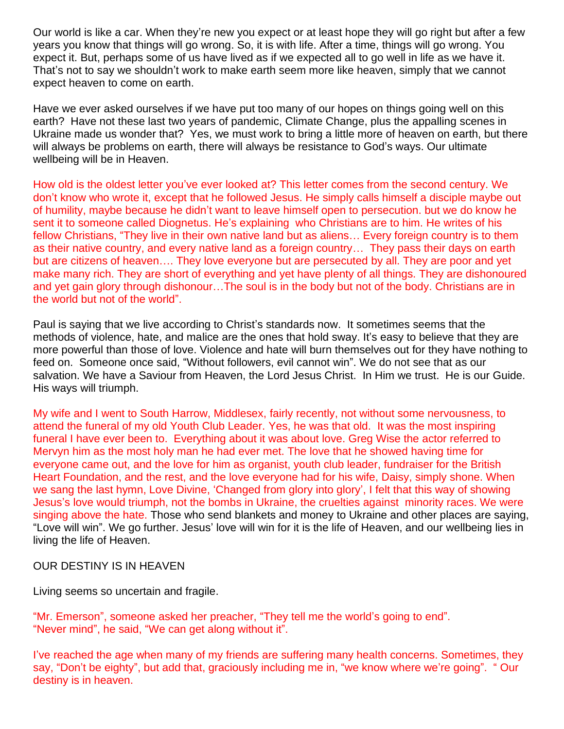Our world is like a car. When they're new you expect or at least hope they will go right but after a few years you know that things will go wrong. So, it is with life. After a time, things will go wrong. You expect it. But, perhaps some of us have lived as if we expected all to go well in life as we have it. That's not to say we shouldn't work to make earth seem more like heaven, simply that we cannot expect heaven to come on earth.

Have we ever asked ourselves if we have put too many of our hopes on things going well on this earth? Have not these last two years of pandemic, Climate Change, plus the appalling scenes in Ukraine made us wonder that? Yes, we must work to bring a little more of heaven on earth, but there will always be problems on earth, there will always be resistance to God's ways. Our ultimate wellbeing will be in Heaven.

How old is the oldest letter you've ever looked at? This letter comes from the second century. We don't know who wrote it, except that he followed Jesus. He simply calls himself a disciple maybe out of humility, maybe because he didn't want to leave himself open to persecution. but we do know he sent it to someone called Diognetus. He's explaining who Christians are to him. He writes of his fellow Christians, "They live in their own native land but as aliens… Every foreign country is to them as their native country, and every native land as a foreign country… They pass their days on earth but are citizens of heaven…. They love everyone but are persecuted by all. They are poor and yet make many rich. They are short of everything and yet have plenty of all things. They are dishonoured and yet gain glory through dishonour…The soul is in the body but not of the body. Christians are in the world but not of the world".

Paul is saying that we live according to Christ's standards now. It sometimes seems that the methods of violence, hate, and malice are the ones that hold sway. It's easy to believe that they are more powerful than those of love. Violence and hate will burn themselves out for they have nothing to feed on. Someone once said, "Without followers, evil cannot win". We do not see that as our salvation. We have a Saviour from Heaven, the Lord Jesus Christ. In Him we trust. He is our Guide. His ways will triumph.

My wife and I went to South Harrow, Middlesex, fairly recently, not without some nervousness, to attend the funeral of my old Youth Club Leader. Yes, he was that old. It was the most inspiring funeral I have ever been to. Everything about it was about love. Greg Wise the actor referred to Mervyn him as the most holy man he had ever met. The love that he showed having time for everyone came out, and the love for him as organist, youth club leader, fundraiser for the British Heart Foundation, and the rest, and the love everyone had for his wife, Daisy, simply shone. When we sang the last hymn, Love Divine, 'Changed from glory into glory', I felt that this way of showing Jesus's love would triumph, not the bombs in Ukraine, the cruelties against minority races. We were singing above the hate. Those who send blankets and money to Ukraine and other places are saying, "Love will win". We go further. Jesus' love will win for it is the life of Heaven, and our wellbeing lies in living the life of Heaven.

OUR DESTINY IS IN HEAVEN

Living seems so uncertain and fragile.

"Mr. Emerson", someone asked her preacher, "They tell me the world's going to end". "Never mind", he said, "We can get along without it".

I've reached the age when many of my friends are suffering many health concerns. Sometimes, they say, "Don't be eighty", but add that, graciously including me in, "we know where we're going". " Our destiny is in heaven.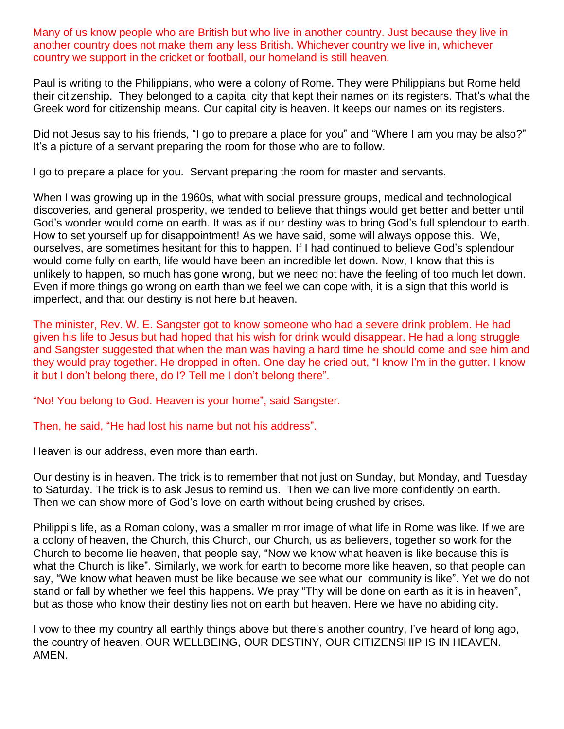Many of us know people who are British but who live in another country. Just because they live in another country does not make them any less British. Whichever country we live in, whichever country we support in the cricket or football, our homeland is still heaven.

Paul is writing to the Philippians, who were a colony of Rome. They were Philippians but Rome held their citizenship. They belonged to a capital city that kept their names on its registers. That's what the Greek word for citizenship means. Our capital city is heaven. It keeps our names on its registers.

Did not Jesus say to his friends, "I go to prepare a place for you" and "Where I am you may be also?" It's a picture of a servant preparing the room for those who are to follow.

I go to prepare a place for you. Servant preparing the room for master and servants.

When I was growing up in the 1960s, what with social pressure groups, medical and technological discoveries, and general prosperity, we tended to believe that things would get better and better until God's wonder would come on earth. It was as if our destiny was to bring God's full splendour to earth. How to set yourself up for disappointment! As we have said, some will always oppose this. We, ourselves, are sometimes hesitant for this to happen. If I had continued to believe God's splendour would come fully on earth, life would have been an incredible let down. Now, I know that this is unlikely to happen, so much has gone wrong, but we need not have the feeling of too much let down. Even if more things go wrong on earth than we feel we can cope with, it is a sign that this world is imperfect, and that our destiny is not here but heaven.

The minister, Rev. W. E. Sangster got to know someone who had a severe drink problem. He had given his life to Jesus but had hoped that his wish for drink would disappear. He had a long struggle and Sangster suggested that when the man was having a hard time he should come and see him and they would pray together. He dropped in often. One day he cried out, "I know I'm in the gutter. I know it but I don't belong there, do I? Tell me I don't belong there".

"No! You belong to God. Heaven is your home", said Sangster.

Then, he said, "He had lost his name but not his address".

Heaven is our address, even more than earth.

Our destiny is in heaven. The trick is to remember that not just on Sunday, but Monday, and Tuesday to Saturday. The trick is to ask Jesus to remind us. Then we can live more confidently on earth. Then we can show more of God's love on earth without being crushed by crises.

Philippi's life, as a Roman colony, was a smaller mirror image of what life in Rome was like. If we are a colony of heaven, the Church, this Church, our Church, us as believers, together so work for the Church to become lie heaven, that people say, "Now we know what heaven is like because this is what the Church is like". Similarly, we work for earth to become more like heaven, so that people can say, "We know what heaven must be like because we see what our community is like". Yet we do not stand or fall by whether we feel this happens. We pray "Thy will be done on earth as it is in heaven", but as those who know their destiny lies not on earth but heaven. Here we have no abiding city.

I vow to thee my country all earthly things above but there's another country, I've heard of long ago, the country of heaven. OUR WELLBEING, OUR DESTINY, OUR CITIZENSHIP IS IN HEAVEN. AMEN.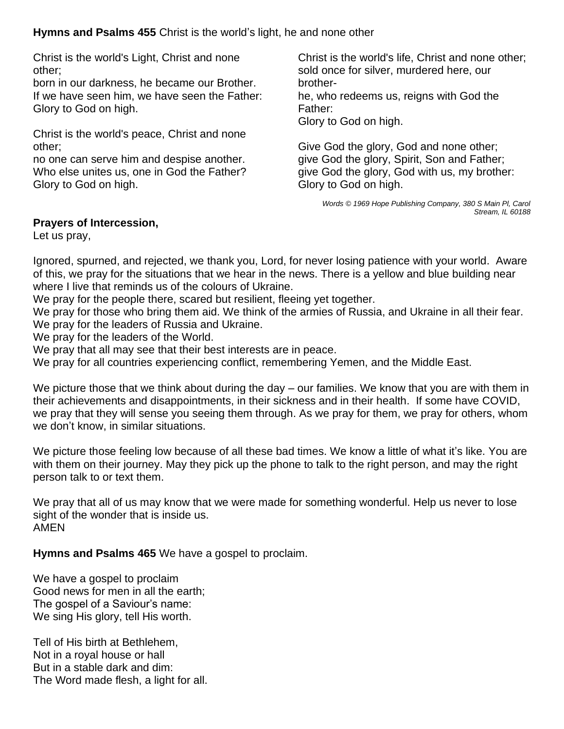**Hymns and Psalms 455** Christ is the world's light, he and none other

Christ is the world's Light, Christ and none other;

born in our darkness, he became our Brother. If we have seen him, we have seen the Father: Glory to God on high.

Christ is the world's peace, Christ and none other;

no one can serve him and despise another. Who else unites us, one in God the Father? Glory to God on high.

Christ is the world's life, Christ and none other; sold once for silver, murdered here, our brotherhe, who redeems us, reigns with God the Father: Glory to God on high.

Give God the glory, God and none other; give God the glory, Spirit, Son and Father; give God the glory, God with us, my brother: Glory to God on high.

> *Words © 1969 Hope Publishing Company, 380 S Main Pl, Carol Stream, IL 60188*

# **Prayers of Intercession,**

Let us pray,

Ignored, spurned, and rejected, we thank you, Lord, for never losing patience with your world. Aware of this, we pray for the situations that we hear in the news. There is a yellow and blue building near where I live that reminds us of the colours of Ukraine.

We pray for the people there, scared but resilient, fleeing yet together.

We pray for those who bring them aid. We think of the armies of Russia, and Ukraine in all their fear. We pray for the leaders of Russia and Ukraine.

We pray for the leaders of the World.

We pray that all may see that their best interests are in peace.

We pray for all countries experiencing conflict, remembering Yemen, and the Middle East.

We picture those that we think about during the day – our families. We know that you are with them in their achievements and disappointments, in their sickness and in their health. If some have COVID, we pray that they will sense you seeing them through. As we pray for them, we pray for others, whom we don't know, in similar situations.

We picture those feeling low because of all these bad times. We know a little of what it's like. You are with them on their journey. May they pick up the phone to talk to the right person, and may the right person talk to or text them.

We pray that all of us may know that we were made for something wonderful. Help us never to lose sight of the wonder that is inside us. AMEN

**Hymns and Psalms 465** We have a gospel to proclaim.

We have a gospel to proclaim Good news for men in all the earth; The gospel of a Saviour's name: We sing His glory, tell His worth.

Tell of His birth at Bethlehem, Not in a royal house or hall But in a stable dark and dim: The Word made flesh, a light for all.